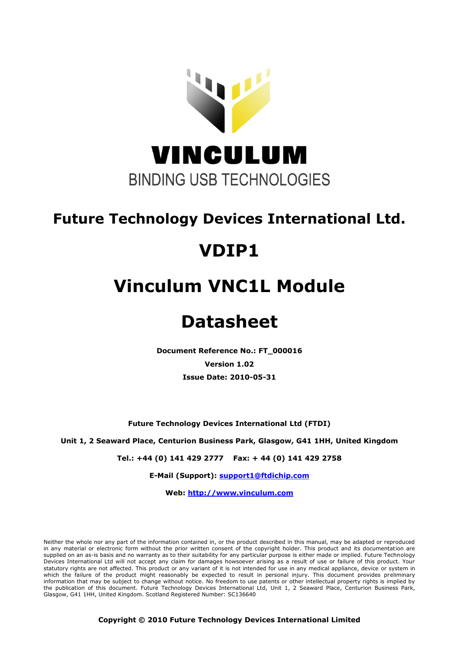

# **Future Technology Devices International Ltd.**

# **VDIP1**

# **Vinculum VNC1L Module**

# **Datasheet**

**Document Reference No.: FT\_000016 Version 1.02 Issue Date: 2010-05-31**

**Future Technology Devices International Ltd (FTDI)**

**Unit 1, 2 Seaward Place, Centurion Business Park, Glasgow, G41 1HH, United Kingdom**

**Tel.: +44 (0) 141 429 2777 Fax: + 44 (0) 141 429 2758**

**E-Mail (Support): support1@ftdichip.com** 

**Web: http://www.vinculum.com**

Neither the whole nor any part of the information contained in, or the product described in this manual, may be adapted or reproduced in any material or electronic form without the prior written consent of the copyright holder. This product and its documentation are supplied on an as-is basis and no warranty as to their suitability for any particular purpose is either made or implied. Future Technology Devices International Ltd will not accept any claim for damages howsoever arising as a result of use or failure of this product. Your statutory rights are not affected. This product or any variant of it is not intended for use in any medical appliance, device or system in which the failure of the product might reasonably be expected to result in personal injury. This document provides preliminary information that may be subject to change without notice. No freedom to use patents or other intellectual property rights is implied by the publication of this document. Future Technology Devices International Ltd, Unit 1, 2 Seaward Place, Centurion Business Park, Glasgow, G41 1HH, United Kingdom. Scotland Registered Number: SC136640

**Copyright © 2010 Future Technology Devices International Limited**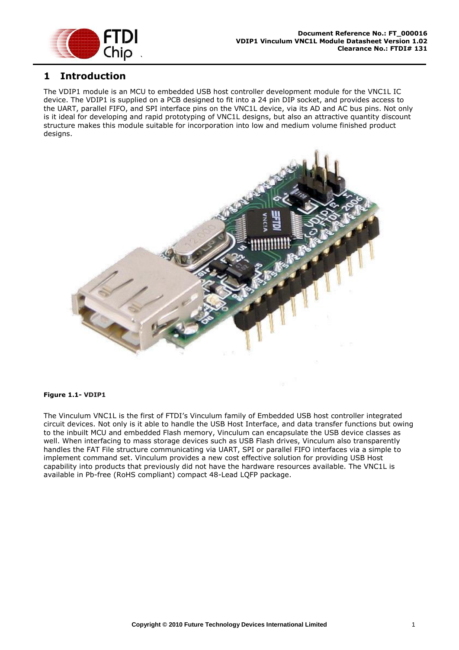

### <span id="page-1-0"></span>**1 Introduction**

The VDIP1 module is an MCU to embedded USB host controller development module for the VNC1L IC device. The VDIP1 is supplied on a PCB designed to fit into a 24 pin DIP socket, and provides access to the UART, parallel FIFO, and SPI interface pins on the VNC1L device, via its AD and AC bus pins. Not only is it ideal for developing and rapid prototyping of VNC1L designs, but also an attractive quantity discount structure makes this module suitable for incorporation into low and medium volume finished product designs.



#### <span id="page-1-1"></span>**Figure 1.1- VDIP1**

The Vinculum VNC1L is the first of FTDI's Vinculum family of Embedded USB host controller integrated circuit devices. Not only is it able to handle the USB Host Interface, and data transfer functions but owing to the inbuilt MCU and embedded Flash memory, Vinculum can encapsulate the USB device classes as well. When interfacing to mass storage devices such as USB Flash drives, Vinculum also transparently handles the FAT File structure communicating via UART, SPI or parallel FIFO interfaces via a simple to implement command set. Vinculum provides a new cost effective solution for providing USB Host capability into products that previously did not have the hardware resources available. The VNC1L is available in Pb-free (RoHS compliant) compact 48-Lead LQFP package.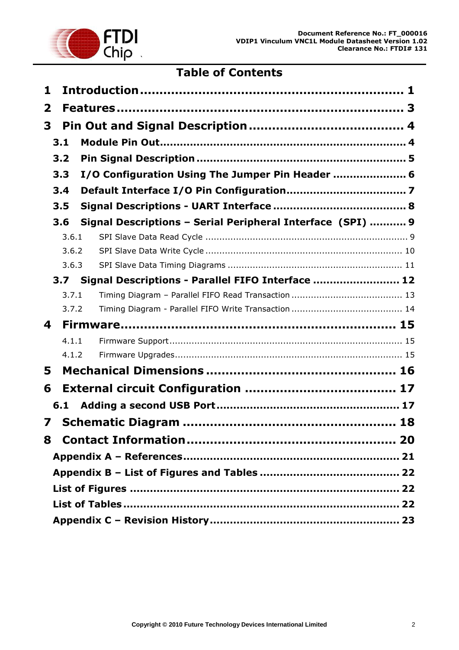

# **Table of Contents**

| 1 |       |                                                            |  |  |  |  |  |  |
|---|-------|------------------------------------------------------------|--|--|--|--|--|--|
| 2 |       |                                                            |  |  |  |  |  |  |
| 3 |       |                                                            |  |  |  |  |  |  |
|   | 3.1   |                                                            |  |  |  |  |  |  |
|   | 3.2   |                                                            |  |  |  |  |  |  |
|   | 3.3   | I/O Configuration Using The Jumper Pin Header  6           |  |  |  |  |  |  |
|   | 3.4   |                                                            |  |  |  |  |  |  |
|   | 3.5   |                                                            |  |  |  |  |  |  |
|   | 3.6   | Signal Descriptions - Serial Peripheral Interface (SPI)  9 |  |  |  |  |  |  |
|   | 3.6.1 |                                                            |  |  |  |  |  |  |
|   | 3.6.2 |                                                            |  |  |  |  |  |  |
|   | 3.6.3 |                                                            |  |  |  |  |  |  |
|   | 3.7   | Signal Descriptions - Parallel FIFO Interface  12          |  |  |  |  |  |  |
|   | 3.7.1 |                                                            |  |  |  |  |  |  |
|   | 3.7.2 |                                                            |  |  |  |  |  |  |
| 4 |       |                                                            |  |  |  |  |  |  |
|   | 4.1.1 |                                                            |  |  |  |  |  |  |
|   | 4.1.2 |                                                            |  |  |  |  |  |  |
| 5 |       |                                                            |  |  |  |  |  |  |
| 6 |       |                                                            |  |  |  |  |  |  |
|   | 6.1   |                                                            |  |  |  |  |  |  |
| 7 |       |                                                            |  |  |  |  |  |  |
| 8 |       |                                                            |  |  |  |  |  |  |
|   |       |                                                            |  |  |  |  |  |  |
|   |       |                                                            |  |  |  |  |  |  |
|   |       |                                                            |  |  |  |  |  |  |
|   |       |                                                            |  |  |  |  |  |  |
|   |       |                                                            |  |  |  |  |  |  |
|   |       |                                                            |  |  |  |  |  |  |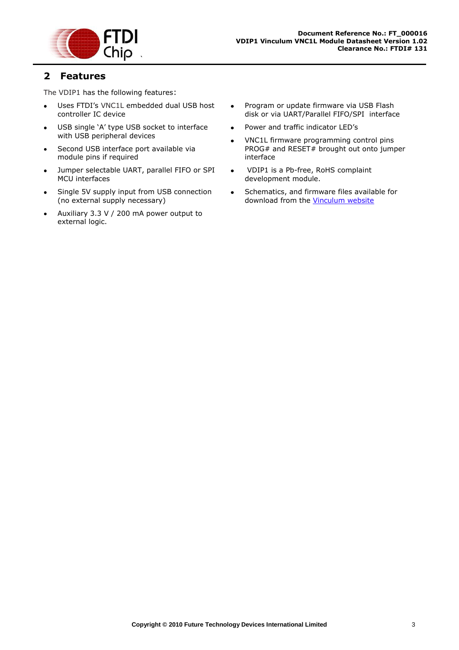

#### <span id="page-3-0"></span>**2 Features**

The VDIP1 has the following features:

- Uses FTDI's VNC1L embedded dual USB host  $\bullet$ controller IC device
- USB single 'A' type USB socket to interface  $\bullet$ with USB peripheral devices
- Second USB interface port available via module pins if required
- Jumper selectable UART, parallel FIFO or SPI MCU interfaces
- Single 5V supply input from USB connection  $\bullet$ (no external supply necessary)
- Auxiliary 3.3 V / 200 mA power output to  $\bullet$ external logic.
- Program or update firmware via USB Flash  $\bullet$ disk or via UART/Parallel FIFO/SPI interface
- Power and traffic indicator LED's  $\bullet$
- VNC1L firmware programming control pins  $\bullet$ PROG# and RESET# brought out onto jumper interface
- VDIP1 is a Pb-free, RoHS complaint  $\bullet$ development module.
- Schematics, and firmware files available for  $\bullet$ download from the Vinculum website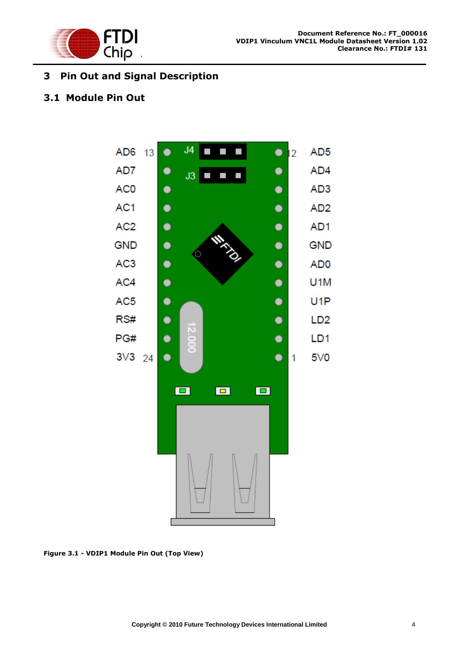### <span id="page-4-0"></span>**3 Pin Out and Signal Description**

#### <span id="page-4-1"></span>**3.1 Module Pin Out**



<span id="page-4-2"></span>**Figure 3.1 - VDIP1 Module Pin Out (Top View)**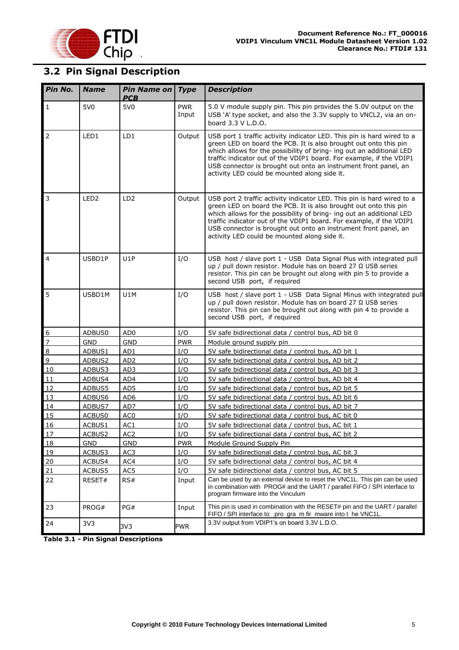

## <span id="page-5-0"></span>**3.2 Pin Signal Description**

| Pin No.         | <b>Name</b>      | <b>Pin Name on</b><br><b>PCB</b> | <b>Type</b>         | <b>Description</b>                                                                                                                                                                                                                                                                                                                                                                                           |
|-----------------|------------------|----------------------------------|---------------------|--------------------------------------------------------------------------------------------------------------------------------------------------------------------------------------------------------------------------------------------------------------------------------------------------------------------------------------------------------------------------------------------------------------|
| 1               | 5V <sub>0</sub>  | 5V0                              | <b>PWR</b><br>Input | 5.0 V module supply pin. This pin provides the 5.0V output on the<br>USB 'A' type socket, and also the 3.3V supply to VNCL2, via an on-<br>board 3.3 V L.D.O.                                                                                                                                                                                                                                                |
| $\overline{2}$  | LED1             | LD1                              | Output              | USB port 1 traffic activity indicator LED. This pin is hard wired to a<br>green LED on board the PCB. It is also brought out onto this pin<br>which allows for the possibility of bring- ing out an additional LED<br>traffic indicator out of the VDIP1 board. For example, if the VDIP1<br>USB connector is brought out onto an instrument front panel, an<br>activity LED could be mounted along side it. |
| 3               | LED <sub>2</sub> | LD <sub>2</sub>                  | Output              | USB port 2 traffic activity indicator LED. This pin is hard wired to a<br>green LED on board the PCB. It is also brought out onto this pin<br>which allows for the possibility of bring- ing out an additional LED<br>traffic indicator out of the VDIP1 board. For example, if the VDIP1<br>USB connector is brought out onto an instrument front panel, an<br>activity LED could be mounted along side it. |
| $\overline{4}$  | USBD1P           | U1P                              | I/O                 | USB host / slave port 1 - USB Data Signal Plus with integrated pull<br>up / pull down resistor. Module has on board 27 Ω USB series<br>resistor. This pin can be brought out along with pin 5 to provide a<br>second USB port, if required                                                                                                                                                                   |
| 5               | USBD1M           | U1M                              | I/O                 | USB host / slave port 1 - USB Data Signal Minus with integrated pull<br>up / pull down resistor. Module has on board 27 Ω USB series<br>resistor. This pin can be brought out along with pin 4 to provide a<br>second USB port, if required                                                                                                                                                                  |
| $6\overline{6}$ | ADBUS0           | AD <sub>0</sub>                  | I/O                 | 5V safe bidirectional data / control bus, AD bit 0                                                                                                                                                                                                                                                                                                                                                           |
| $\overline{7}$  | <b>GND</b>       | <b>GND</b>                       | <b>PWR</b>          | Module ground supply pin                                                                                                                                                                                                                                                                                                                                                                                     |
| $\bf{8}$        | ADBUS1           | AD1                              | I/O                 | 5V safe bidirectional data / control bus, AD bit 1                                                                                                                                                                                                                                                                                                                                                           |
| $\overline{9}$  | ADBUS2           | AD <sub>2</sub>                  | I/O                 | 5V safe bidirectional data / control bus, AD bit 2                                                                                                                                                                                                                                                                                                                                                           |
| 10              | ADBUS3           | AD <sub>3</sub>                  | I/O                 | 5V safe bidirectional data / control bus, AD bit 3                                                                                                                                                                                                                                                                                                                                                           |
| 11              | ADBUS4           | AD4                              | I/O                 | 5V safe bidirectional data / control bus, AD bit 4                                                                                                                                                                                                                                                                                                                                                           |
| 12              | ADBUS5           | AD5                              | I/O                 | 5V safe bidirectional data / control bus, AD bit 5                                                                                                                                                                                                                                                                                                                                                           |
| 13<br>14        | ADBUS6           | AD6                              | I/O                 | 5V safe bidirectional data / control bus, AD bit 6                                                                                                                                                                                                                                                                                                                                                           |
| 15              | ADBUS7<br>ACBUS0 | AD7<br>AC0                       | I/O<br>I/O          | 5V safe bidirectional data / control bus, AD bit 7<br>5V safe bidirectional data / control bus, AC bit 0                                                                                                                                                                                                                                                                                                     |
| 16              | ACBUS1           | AC1                              | I/O                 | 5V safe bidirectional data / control bus, AC bit 1                                                                                                                                                                                                                                                                                                                                                           |
| 17              | ACBUS2           | AC <sub>2</sub>                  | I/O                 | 5V safe bidirectional data / control bus, AC bit 2                                                                                                                                                                                                                                                                                                                                                           |
| 18              | <b>GND</b>       | GND                              | <b>PWR</b>          | Module Ground Supply Pin                                                                                                                                                                                                                                                                                                                                                                                     |
| 19              | ACBUS3           | AC3                              | I/O                 | 5V safe bidirectional data / control bus, AC bit 3                                                                                                                                                                                                                                                                                                                                                           |
| 20              | ACBUS4           | AC4                              | I/O                 | 5V safe bidirectional data / control bus, AC bit 4                                                                                                                                                                                                                                                                                                                                                           |
| 21              | ACBUS5           | AC5                              | I/O                 | 5V safe bidirectional data / control bus, AC bit 5                                                                                                                                                                                                                                                                                                                                                           |
| 22              | RESET#           | RS#                              | Input               | Can be used by an external device to reset the VNC1L. This pin can be used<br>in combination with PROG# and the UART / parallel FIFO / SPI interface to<br>program firmware into the Vinculum                                                                                                                                                                                                                |
| 23              | PROG#            | PG#                              | Input               | This pin is used in combination with the RESET# pin and the UART / parallel<br>FIFO / SPI interface to pro gra m fir mware into t he VNC1L.                                                                                                                                                                                                                                                                  |
| 24              | 3V <sub>3</sub>  | 3V <sub>3</sub>                  | <b>PWR</b>          | 3.3V output from VDIP1's on board 3.3V L.D.O.                                                                                                                                                                                                                                                                                                                                                                |

<span id="page-5-1"></span>**Table 3.1 - Pin Signal Descriptions**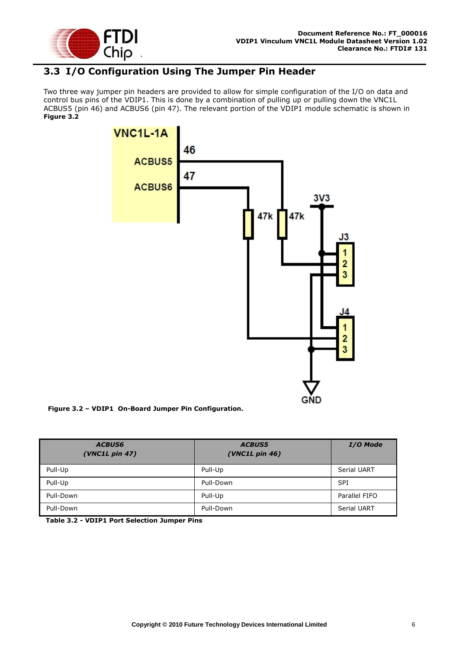

#### <span id="page-6-0"></span>**3.3 I/O Configuration Using The Jumper Pin Header**

Two three way jumper pin headers are provided to allow for simple configuration of the I/O on data and control bus pins of the VDIP1. This is done by a combination of pulling up or pulling down the VNC1L ACBUS5 (pin 46) and ACBUS6 (pin 47). The relevant portion of the VDIP1 module schematic is shown in **[Figure 3.2](#page-6-1)**



<span id="page-6-1"></span> **Figure 3.2 – VDIP1 On-Board Jumper Pin Configuration.**

| <b>ACBUS6</b><br>$(VNC1L$ pin 47) | <b>ACBUS5</b><br>(VNC1L pin 46) | <b>I/O Mode</b> |
|-----------------------------------|---------------------------------|-----------------|
| Pull-Up                           | Pull-Up                         | Serial UART     |
| Pull-Up                           | Pull-Down                       | <b>SPI</b>      |
| Pull-Down                         | Pull-Up                         | Parallel FIFO   |
| Pull-Down                         | Pull-Down                       | Serial UART     |

<span id="page-6-2"></span>**Table 3.2 - VDIP1 Port Selection Jumper Pins**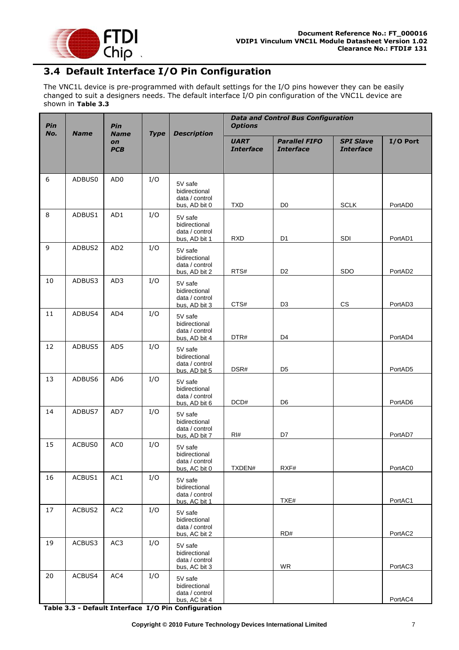

## <span id="page-7-0"></span>**3.4 Default Interface I/O Pin Configuration**

The VNC1L device is pre-programmed with default settings for the I/O pins however they can be easily changed to suit a designers needs. The default interface I/O pin configuration of the VNC1L device are shown in **[Table 3.3](#page-7-1)**

| Pin<br>No. | <b>Name</b> | Pin<br><b>Name</b><br>on<br><b>PCB</b> | <b>Type</b> | <b>Description</b>                                          | <b>Data and Control Bus Configuration</b><br><b>Options</b> |                                          |                                      |                     |
|------------|-------------|----------------------------------------|-------------|-------------------------------------------------------------|-------------------------------------------------------------|------------------------------------------|--------------------------------------|---------------------|
|            |             |                                        |             |                                                             | <b>UART</b><br><b>Interface</b>                             | <b>Parallel FIFO</b><br><b>Interface</b> | <b>SPI Slave</b><br><b>Interface</b> | I/O Port            |
| 6          | ADBUS0      | AD <sub>0</sub>                        | I/O         | 5V safe<br>bidirectional<br>data / control<br>bus, AD bit 0 | <b>TXD</b>                                                  | D <sub>0</sub>                           | <b>SCLK</b>                          | PortAD <sub>0</sub> |
| 8          | ADBUS1      | AD1                                    | I/O         | 5V safe<br>bidirectional<br>data / control<br>bus, AD bit 1 | <b>RXD</b>                                                  | D <sub>1</sub>                           | SDI                                  | PortAD1             |
| 9          | ADBUS2      | AD <sub>2</sub>                        | I/O         | 5V safe<br>bidirectional<br>data / control<br>bus, AD bit 2 | RTS#                                                        | D <sub>2</sub>                           | SDO                                  | PortAD <sub>2</sub> |
| 10         | ADBUS3      | AD3                                    | I/O         | 5V safe<br>bidirectional<br>data / control<br>bus, AD bit 3 | CTS#                                                        | D <sub>3</sub>                           | CS                                   | PortAD3             |
| 11         | ADBUS4      | AD4                                    | I/O         | 5V safe<br>bidirectional<br>data / control<br>bus, AD bit 4 | DTR#                                                        | D <sub>4</sub>                           |                                      | PortAD4             |
| 12         | ADBUS5      | AD5                                    | I/O         | 5V safe<br>bidirectional<br>data / control<br>bus. AD bit 5 | DSR#                                                        | D <sub>5</sub>                           |                                      | PortAD <sub>5</sub> |
| 13         | ADBUS6      | AD <sub>6</sub>                        | I/O         | 5V safe<br>bidirectional<br>data / control<br>bus, AD bit 6 | DCD#                                                        | D <sub>6</sub>                           |                                      | PortAD6             |
| 14         | ADBUS7      | AD7                                    | I/O         | 5V safe<br>bidirectional<br>data / control<br>bus, AD bit 7 | $R$ <sup>#</sup>                                            | D7                                       |                                      | PortAD7             |
| 15         | ACBUS0      | AC0                                    | I/O         | 5V safe<br>bidirectional<br>data / control<br>bus, AC bit 0 | TXDEN#                                                      | RXF#                                     |                                      | PortAC0             |
| 16         | ACBUS1      | AC1                                    | I/O         | 5V safe<br>bidirectional<br>data / control<br>bus, AC bit 1 |                                                             | TXE#                                     |                                      | PortAC1             |
| 17         | ACBUS2      | AC <sub>2</sub>                        | I/O         | 5V safe<br>bidirectional<br>data / control<br>bus, AC bit 2 |                                                             | RD#                                      |                                      | PortAC2             |
| 19         | ACBUS3      | AC3                                    | I/O         | 5V safe<br>bidirectional<br>data / control<br>bus, AC bit 3 |                                                             | <b>WR</b>                                |                                      | PortAC3             |
| 20         | ACBUS4      | AC4                                    | I/O         | 5V safe<br>bidirectional<br>data / control<br>bus, AC bit 4 |                                                             |                                          |                                      | PortAC4             |

<span id="page-7-1"></span>**Table 3.3 - Default Interface I/O Pin Configuration**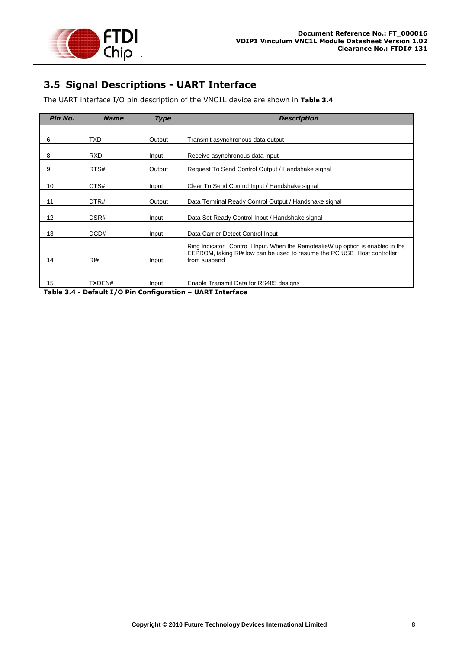

### <span id="page-8-0"></span>**3.5 Signal Descriptions - UART Interface**

The UART interface I/O pin description of the VNC1L device are shown in **[Table 3.4](#page-8-1)**

| Pin No. | <b>Name</b>      | <b>Type</b> | <b>Description</b>                                                                                                                                                        |
|---------|------------------|-------------|---------------------------------------------------------------------------------------------------------------------------------------------------------------------------|
|         |                  |             |                                                                                                                                                                           |
| 6       | TXD              | Output      | Transmit asynchronous data output                                                                                                                                         |
| 8       | <b>RXD</b>       | Input       | Receive asynchronous data input                                                                                                                                           |
| 9       | RTS#             | Output      | Request To Send Control Output / Handshake signal                                                                                                                         |
| 10      | CTS#             | Input       | Clear To Send Control Input / Handshake signal                                                                                                                            |
| 11      | DTR#             | Output      | Data Terminal Ready Control Output / Handshake signal                                                                                                                     |
| 12      | DSR#             | Input       | Data Set Ready Control Input / Handshake signal                                                                                                                           |
| 13      | DCD#             | Input       | Data Carrier Detect Control Input                                                                                                                                         |
| 14      | $R$ <sup>#</sup> | Input       | Ring Indicator Contro I Input. When the RemoteakeW up option is enabled in the<br>EEPROM, taking RI# low can be used to resume the PC USB Host controller<br>from suspend |
| 15      | TXDEN#           | Input       | Enable Transmit Data for RS485 designs                                                                                                                                    |

<span id="page-8-1"></span>**Table 3.4 - Default I/O Pin Configuration – UART Interface**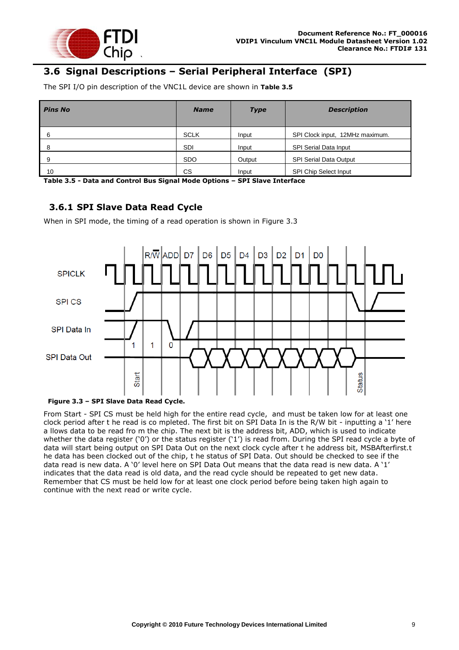

### <span id="page-9-0"></span>**3.6 Signal Descriptions – Serial Peripheral Interface (SPI)**

The SPI I/O pin description of the VNC1L device are shown in **[Table 3.5](#page-9-2)**

| <b>Pins No</b> | <b>Name</b> | <b>Type</b> | <b>Description</b>              |
|----------------|-------------|-------------|---------------------------------|
| 6              | <b>SCLK</b> | Input       | SPI Clock input, 12MHz maximum. |
| 8              | <b>SDI</b>  | Input       | SPI Serial Data Input           |
| 9              | <b>SDO</b>  | Output      | <b>SPI Serial Data Output</b>   |
| 10             | CS          | Input       | <b>SPI Chip Select Input</b>    |

<span id="page-9-2"></span>**Table 3.5 - Data and Control Bus Signal Mode Options – SPI Slave Interface**

#### <span id="page-9-1"></span>**3.6.1 SPI Slave Data Read Cycle**

When in SPI mode, the timing of a read operation is shown in [Figure 3.3](#page-9-3)



<span id="page-9-3"></span>From Start - SPI CS must be held high for the entire read cycle, and must be taken low for at least one clock period after t he read is co mpleted. The first bit on SPI Data In is the R/W bit - inputting a '1' here a llows data to be read fro m the chip. The next bit is the address bit, ADD, which is used to indicate whether the data register ('0') or the status register ('1') is read from. During the SPI read cycle a byte of data will start being output on SPI Data Out on the next clock cycle after t he address bit, MSBAfterfirst.t he data has been clocked out of the chip, t he status of SPI Data. Out should be checked to see if the data read is new data. A '0' level here on SPI Data Out means that the data read is new data. A '1' indicates that the data read is old data, and the read cycle should be repeated to get new data. Remember that CS must be held low for at least one clock period before being taken high again to continue with the next read or write cycle.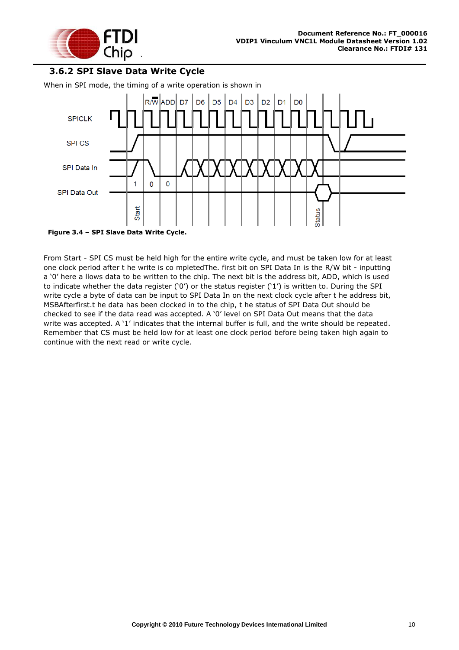

#### <span id="page-10-0"></span>**3.6.2 SPI Slave Data Write Cycle**

When in SPI mode, the timing of a write operation is shown in



<span id="page-10-1"></span>**Figure 3.4 – SPI Slave Data Write Cycle.**

From Start - SPI CS must be held high for the entire write cycle, and must be taken low for at least one clock period after t he write is co mpletedThe. first bit on SPI Data In is the R/W bit - inputting a '0' here a llows data to be written to the chip. The next bit is the address bit, ADD, which is used to indicate whether the data register ('0') or the status register ('1') is written to. During the SPI write cycle a byte of data can be input to SPI Data In on the next clock cycle after t he address bit, MSBAfterfirst.t he data has been clocked in to the chip, t he status of SPI Data Out should be checked to see if the data read was accepted. A '0' level on SPI Data Out means that the data write was accepted. A '1' indicates that the internal buffer is full, and the write should be repeated. Remember that CS must be held low for at least one clock period before being taken high again to continue with the next read or write cycle.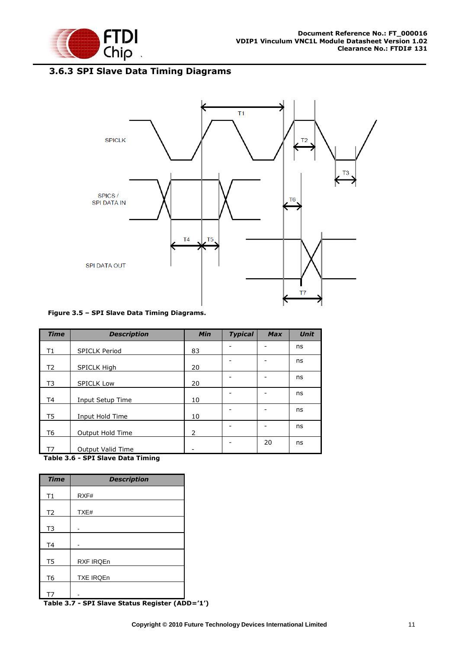

#### <span id="page-11-0"></span>**3.6.3 SPI Slave Data Timing Diagrams**



#### <span id="page-11-1"></span>**Figure 3.5 – SPI Slave Data Timing Diagrams.**

| <b>Time</b>    | <b>Description</b>      | <b>Min</b> | <b>Typical</b> | <b>Max</b> | <b>Unit</b> |
|----------------|-------------------------|------------|----------------|------------|-------------|
| T1             | <b>SPICLK Period</b>    | 83         |                |            | ns          |
| T <sub>2</sub> | <b>SPICLK High</b>      | 20         |                |            | ns          |
| T <sub>3</sub> | <b>SPICLK Low</b>       | 20         |                |            | ns          |
| T <sub>4</sub> | <b>Input Setup Time</b> | 10         |                |            | ns          |
| T <sub>5</sub> | Input Hold Time         | 10         |                |            | ns          |
| T <sub>6</sub> | Output Hold Time        | 2          |                |            | ns          |
| Т7             | Output Valid Time       |            |                | 20         | ns          |

<span id="page-11-2"></span>**Table 3.6 - SPI Slave Data Timing** 

| <b>Time</b>    | <b>Description</b> |
|----------------|--------------------|
| T1             | RXF#               |
| T <sub>2</sub> | TXE#               |
| T <sub>3</sub> |                    |
| T <sub>4</sub> |                    |
| T <sub>5</sub> | <b>RXF IRQEn</b>   |
| T <sub>6</sub> | <b>TXE IRQEn</b>   |
| Τ7             |                    |

<span id="page-11-3"></span>**Table 3.7 - SPI Slave Status Register (ADD='1')**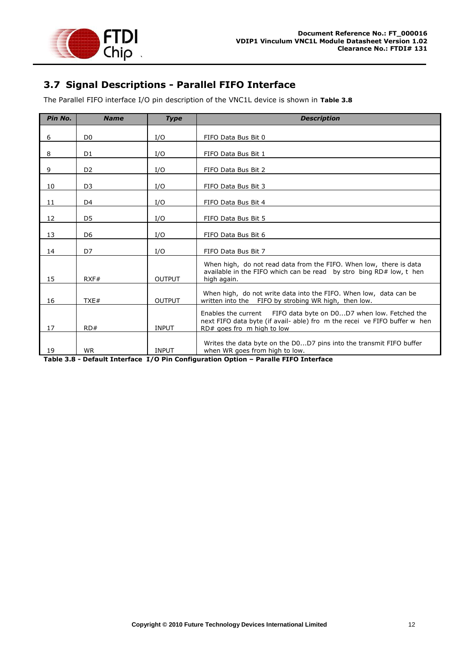

### <span id="page-12-0"></span>**3.7 Signal Descriptions - Parallel FIFO Interface**

The Parallel FIFO interface I/O pin description of the VNC1L device is shown in **[Table 3.8](#page-12-1)**

| Pin No. | <b>Name</b>    | <b>Type</b>   | <b>Description</b>                                                                                                                                                          |
|---------|----------------|---------------|-----------------------------------------------------------------------------------------------------------------------------------------------------------------------------|
| 6       | D <sub>0</sub> | I/O           | FIFO Data Bus Bit 0                                                                                                                                                         |
| 8       | D <sub>1</sub> | I/O           | FIFO Data Bus Bit 1                                                                                                                                                         |
| 9       | D <sub>2</sub> | I/O           | FIFO Data Bus Bit 2                                                                                                                                                         |
| 10      | D <sub>3</sub> | I/O           | FIFO Data Bus Bit 3                                                                                                                                                         |
| 11      | D4             | I/O           | FIFO Data Bus Bit 4                                                                                                                                                         |
| 12      | D <sub>5</sub> | I/O           | FIFO Data Bus Bit 5                                                                                                                                                         |
| 13      | D <sub>6</sub> | I/O           | FIFO Data Bus Bit 6                                                                                                                                                         |
| 14      | D7             | I/O           | FIFO Data Bus Bit 7                                                                                                                                                         |
| 15      | RXF#           | <b>OUTPUT</b> | When high, do not read data from the FIFO. When low, there is data<br>available in the FIFO which can be read by stro bing RD# low, t hen<br>high again.                    |
| 16      | TXE#           | <b>OUTPUT</b> | When high, do not write data into the FIFO. When low, data can be<br>written into the FIFO by strobing WR high, then low.                                                   |
| 17      | RD#            | <b>INPUT</b>  | Enables the current FIFO data byte on D0D7 when low. Fetched the<br>next FIFO data byte (if avail- able) fro m the recei ve FIFO buffer w hen<br>RD# goes fro m high to low |
| 19      | <b>WR</b>      | <b>INPUT</b>  | Writes the data byte on the D0D7 pins into the transmit FIFO buffer<br>when WR goes from high to low.                                                                       |

<span id="page-12-1"></span>**Table 3.8 - Default Interface I/O Pin Configuration Option – Paralle FIFO Interface**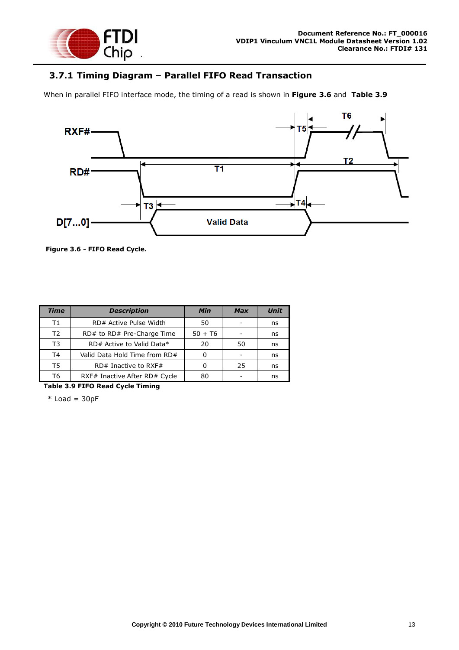

#### <span id="page-13-0"></span>**3.7.1 Timing Diagram – Parallel FIFO Read Transaction**

When in parallel FIFO interface mode, the timing of a read is shown in **[Figure 3.6](#page-13-1)** and **[Table 3.9](#page-13-2)**



<span id="page-13-1"></span>**Figure 3.6 - FIFO Read Cycle.**

| <b>Time</b>    | <b>Description</b>            | <b>Min</b> | <b>Max</b> | <b>Unit</b> |
|----------------|-------------------------------|------------|------------|-------------|
| T1             | RD# Active Pulse Width        | 50         |            | ns          |
| T <sub>2</sub> | RD# to RD# Pre-Charge Time    | $50 + T6$  |            | ns          |
| T <sub>3</sub> | RD# Active to Valid Data*     | 20         | 50         | ns          |
| T4             | Valid Data Hold Time from RD# |            |            | ns          |
| T <sub>5</sub> | $RD#$ Inactive to RXF#        |            | 25         | ns          |
| T6             | RXF# Inactive After RD# Cycle | 80         |            | ns          |

<span id="page-13-2"></span>**Table 3.9 FIFO Read Cycle Timing**

 $*$  Load = 30pF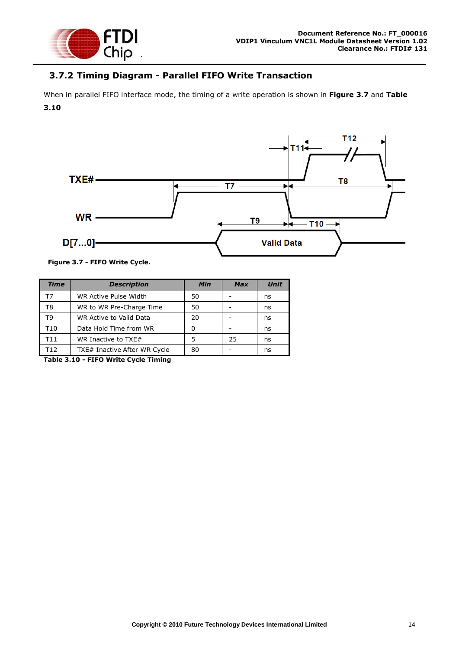

#### <span id="page-14-0"></span>**3.7.2 Timing Diagram - Parallel FIFO Write Transaction**

When in parallel FIFO interface mode, the timing of a write operation is shown in **[Figure 3.7](#page-14-1)** and **[Table](#page-14-2)  [3.10](#page-14-2)**



<span id="page-14-1"></span>

| <b>Time</b> | <b>Description</b>           | <b>Min</b> | <b>Max</b> | <b>Unit</b> |
|-------------|------------------------------|------------|------------|-------------|
|             | WR Active Pulse Width        | 50         |            | ns          |
| T8          | WR to WR Pre-Charge Time     | 50         |            | ns          |
| T9          | WR Active to Valid Data      | 20         |            | ns          |
| T10         | Data Hold Time from WR       |            |            | ns          |
| T11         | WR Inactive to TXE#          |            | 25         | ns          |
| F12         | TXE# Inactive After WR Cycle | 80         |            | ns          |

<span id="page-14-2"></span>**Table 3.10 - FIFO Write Cycle Timing**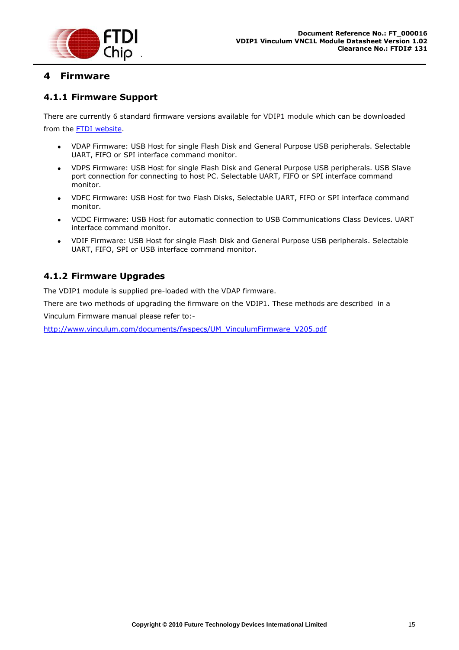

#### <span id="page-15-0"></span>**4 Firmware**

#### <span id="page-15-1"></span>**4.1.1 Firmware Support**

There are currently 6 standard firmware versions available for VDIP1 module which can be downloaded

from the [FTDI website.](http://www.ftdichip.com/)

- VDAP Firmware: USB Host for single Flash Disk and General Purpose USB peripherals. Selectable UART, FIFO or SPI interface command monitor.
- VDPS Firmware: USB Host for single Flash Disk and General Purpose USB peripherals. USB Slave  $\bullet$ port connection for connecting to host PC. Selectable UART, FIFO or SPI interface command monitor.
- VDFC Firmware: USB Host for two Flash Disks, Selectable UART, FIFO or SPI interface command monitor.
- VCDC Firmware: USB Host for automatic connection to USB Communications Class Devices. UART  $\bullet$ interface command monitor.
- VDIF Firmware: USB Host for single Flash Disk and General Purpose USB peripherals. Selectable UART, FIFO, SPI or USB interface command monitor.

#### <span id="page-15-2"></span>**4.1.2 Firmware Upgrades**

The VDIP1 module is supplied pre-loaded with the VDAP firmware.

There are two methods of upgrading the firmware on the VDIP1. These methods are described in a

Vinculum Firmware manual please refer to:-

[http://www.vinculum.com/documents/fwspecs/UM\\_VinculumFirmware\\_V205.pdf](http://www.vinculum.com/documents/fwspecs/UM_VinculumFirmware_V205.pdf)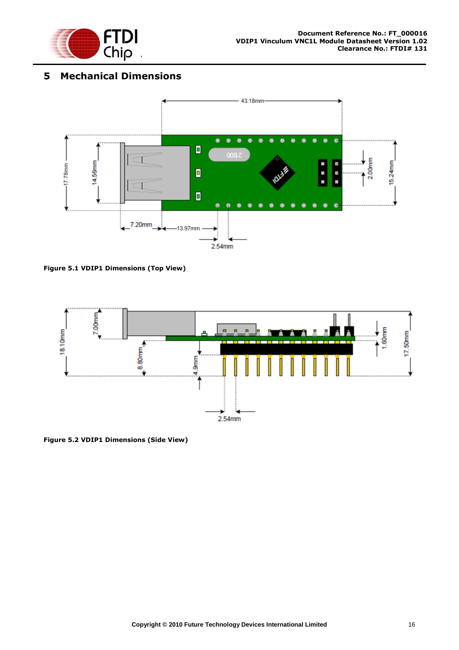

## <span id="page-16-0"></span>**5 Mechanical Dimensions**



<span id="page-16-1"></span>**Figure 5.1 VDIP1 Dimensions (Top View)**



<span id="page-16-2"></span>**Figure 5.2 VDIP1 Dimensions (Side View)**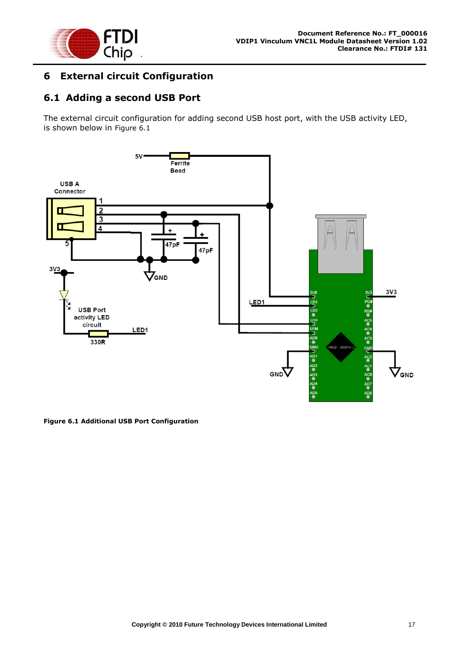

### <span id="page-17-0"></span>**6 External circuit Configuration**

#### <span id="page-17-1"></span>**6.1 Adding a second USB Port**

The external circuit configuration for adding second USB host port, with the USB activity LED, is shown below in [Figure 6.1](#page-17-2)



<span id="page-17-2"></span>**Figure 6.1 Additional USB Port Configuration**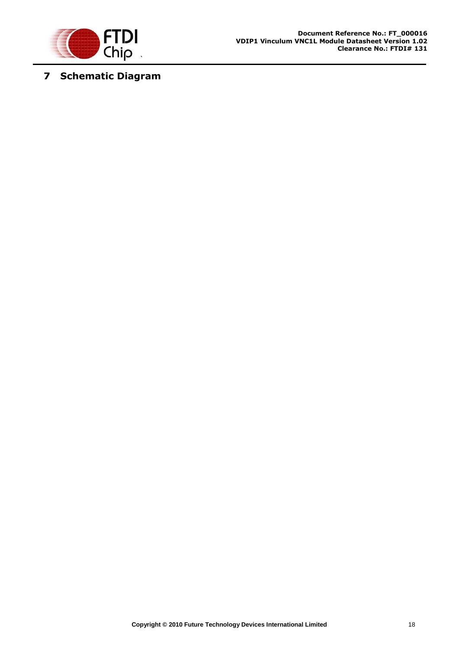

## <span id="page-18-0"></span>**7 Schematic Diagram**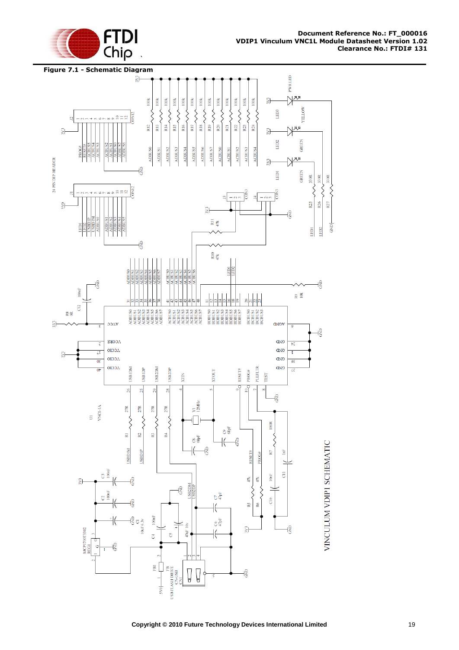

<span id="page-19-0"></span>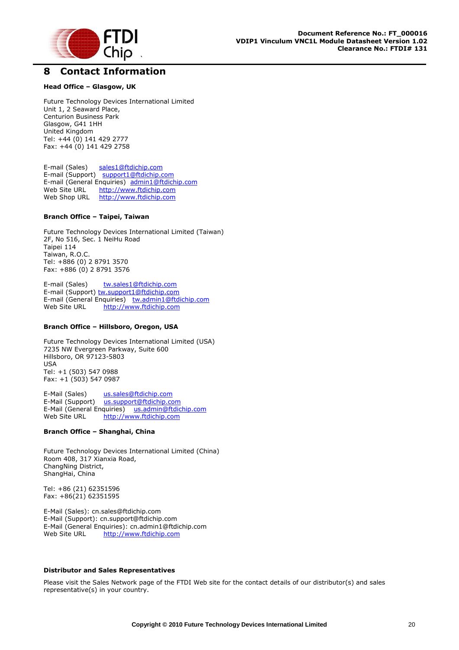

#### <span id="page-20-0"></span>**8 Contact Information**

#### **Head Office – Glasgow, UK**

Future Technology Devices International Limited Unit 1, 2 Seaward Place, Centurion Business Park Glasgow, G41 1HH United Kingdom Tel: +44 (0) 141 429 2777 Fax: +44 (0) 141 429 2758

E-mail (Sales) [sales1@ftdichip.com](mailto:sales1@ftdichip.com) E-mail (Support) [support1@ftdichip.com](mailto:support1@ftdichip.com) E-mail (General Enquiries) [admin1@ftdichip.com](mailto:admin1@ftdichip.com) Web Site URL [http://www.ftdichip.com](http://www.ftdichip.com/) Web Shop URL [http://www.ftdichip.com](http://www.ftdichip.com/)

#### **Branch Office – Taipei, Taiwan**

Future Technology Devices International Limited (Taiwan) 2F, No 516, Sec. 1 NeiHu Road Taipei 114 Taiwan, R.O.C. Tel: +886 (0) 2 8791 3570 Fax: +886 (0) 2 8791 3576

E-mail (Sales) [tw.sales1@ftdichip.com](mailto:tw.sales1@ftdichip.com) E-mail (Support) [tw.support1@ftdichip.com](mailto:tw.support1@ftdichip.com) E-mail (General Enquiries) [tw.admin1@ftdichip.com](mailto:tw.admin1@ftdichip.com) Web Site URL [http://www.ftdichip.com](http://www.ftdichip.com/)

#### **Branch Office – Hillsboro, Oregon, USA**

Future Technology Devices International Limited (USA) 7235 NW Evergreen Parkway, Suite 600 Hillsboro, OR 97123-5803 USA Tel: +1 (503) 547 0988 Fax: +1 (503) 547 0987

E-Mail (Sales) [us.sales@ftdichip.com](mailto:us.sales@ftdichip.com) E-Mail (Support) [us.support@ftdichip.com](mailto:us.support@ftdichip.com) E-Mail (General Enquiries) [us.admin@ftdichip.com](mailto:us.admin@ftdichip.com) Web Site URL [http://www.ftdichip.com](http://www.ftdichip.com/)

#### **Branch Office – Shanghai, China**

Future Technology Devices International Limited (China) Room 408, 317 Xianxia Road, ChangNing District, ShangHai, China

Tel: +86 [\(21\) 6](LiveCall:(503)547-0988)2351596 Fax: +8[6\(21\) 6](LiveCall:(503)547-0987)2351595

E-Mail (Sales): [cn.sales@ftdichip.com](mailto:cn.sales@ftdichip.com) E-Mail (Support): c[n.support@ftdichip.](mailto:.support@ftdichip)com E-Mail (General Enquiries): cn[.admin1@ftdichip.com](mailto:admin1@ftdichip.com) Web Site URL [http://www.ftdichip.com](http://www.ftdichip.com/)

#### **Distributor and Sales Representatives**

Please visit the Sales Network page of the FTDI Web site for the contact details of our distributor(s) and sales representative(s) in your country.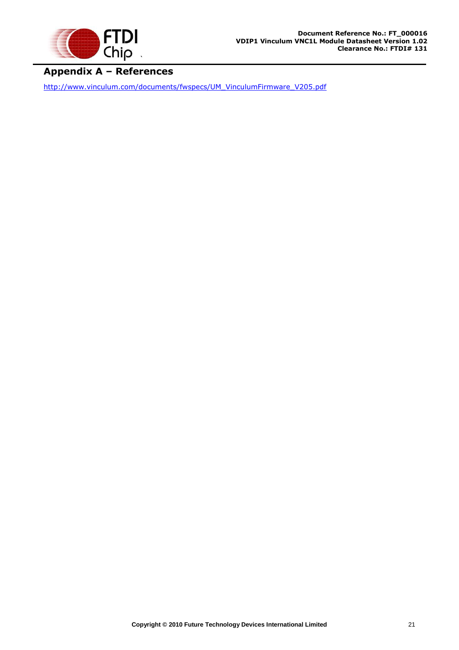

## <span id="page-21-0"></span>**Appendix A – References**

[http://www.vinculum.com/documents/fwspecs/UM\\_VinculumFirmware\\_V205.pdf](http://www.vinculum.com/documents/fwspecs/UM_VinculumFirmware_V205.pdf)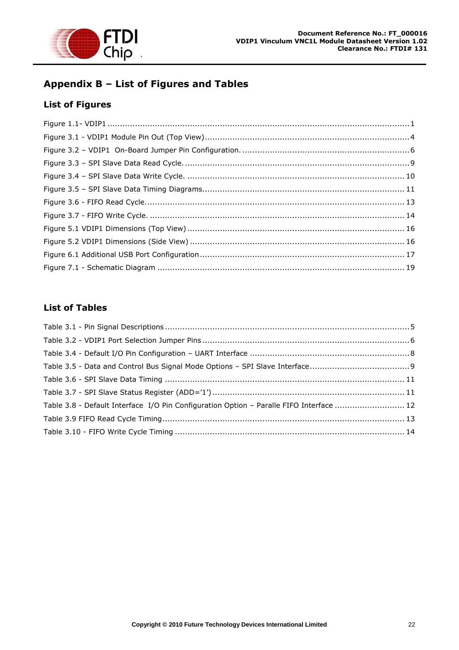

## <span id="page-22-0"></span>**Appendix B – List of Figures and Tables**

#### <span id="page-22-1"></span>**List of Figures**

#### <span id="page-22-2"></span>**List of Tables**

| Table 3.8 - Default Interface I/O Pin Configuration Option - Paralle FIFO Interface  12 |  |
|-----------------------------------------------------------------------------------------|--|
|                                                                                         |  |
|                                                                                         |  |